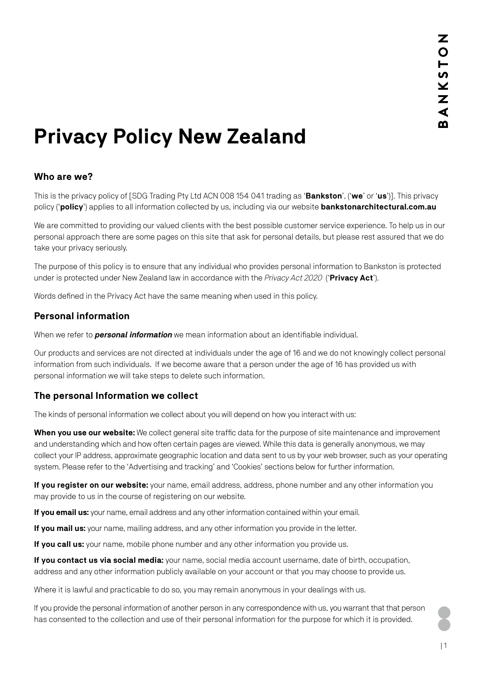# **Privacy Policy New Zealand**

# **Who are we?**

This is the privacy policy of [SDG Trading Pty Ltd ACN 008 154 041 trading as '**Bankston**', ('**we**' or '**us**')]. This privacy policy ('**policy**') applies to all information collected by us, including via our website **[bankstonarchitectural.com.au](www.bankstonarchitectural.com.au)** 

We are committed to providing our valued clients with the best possible customer service experience. To help us in our personal approach there are some pages on this site that ask for personal details, but please rest assured that we do take your privacy seriously.

The purpose of this policy is to ensure that any individual who provides personal information to Bankston is protected under is protected under New Zealand law in accordance with the *Privacy Act 2020* ('**Privacy Act**').

Words defined in the Privacy Act have the same meaning when used in this policy.

#### **Personal information**

When we refer to *personal information* we mean information about an identifiable individual.

Our products and services are not directed at individuals under the age of 16 and we do not knowingly collect personal information from such individuals. If we become aware that a person under the age of 16 has provided us with personal information we will take steps to delete such information.

#### **The personal Information we collect**

The kinds of personal information we collect about you will depend on how you interact with us:

**When you use our website:** We collect general site traffic data for the purpose of site maintenance and improvement and understanding which and how often certain pages are viewed. While this data is generally anonymous, we may collect your IP address, approximate geographic location and data sent to us by your web browser, such as your operating system. Please refer to the 'Advertising and tracking' and 'Cookies' sections below for further information.

**If you register on our website:** your name, email address, address, phone number and any other information you may provide to us in the course of registering on our website.

**If you email us:** your name, email address and any other information contained within your email.

**If you mail us:** your name, mailing address, and any other information you provide in the letter.

**If you call us:** your name, mobile phone number and any other information you provide us.

**If you contact us via social media:** your name, social media account username, date of birth, occupation, address and any other information publicly available on your account or that you may choose to provide us.

Where it is lawful and practicable to do so, you may remain anonymous in your dealings with us.

If you provide the personal information of another person in any correspondence with us, you warrant that that person has consented to the collection and use of their personal information for the purpose for which it is provided.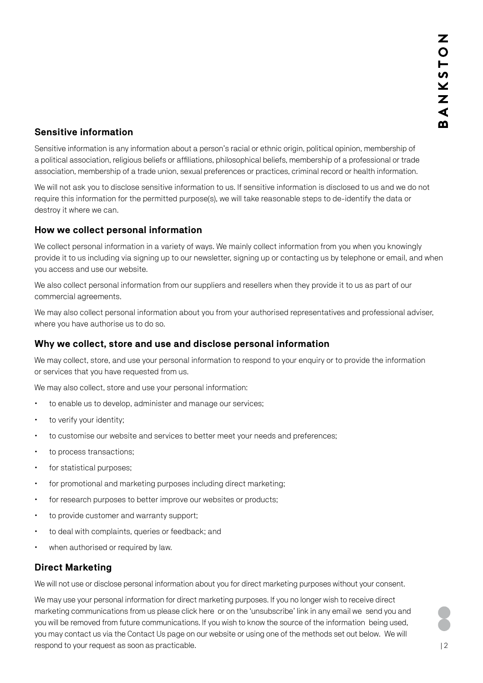## **Sensitive information**

Sensitive information is any information about a person's racial or ethnic origin, political opinion, membership of a political association, religious beliefs or affiliations, philosophical beliefs, membership of a professional or trade association, membership of a trade union, sexual preferences or practices, criminal record or health information.

We will not ask you to disclose sensitive information to us. If sensitive information is disclosed to us and we do not require this information for the permitted purpose(s), we will take reasonable steps to de-identify the data or destroy it where we can.

## **How we collect personal information**

We collect personal information in a variety of ways. We mainly collect information from you when you knowingly provide it to us including via signing up to our newsletter, signing up or contacting us by telephone or email, and when you access and use our website.

We also collect personal information from our suppliers and resellers when they provide it to us as part of our commercial agreements.

We may also collect personal information about you from your authorised representatives and professional adviser, where you have authorise us to do so.

### **Why we collect, store and use and disclose personal information**

We may collect, store, and use your personal information to respond to your enquiry or to provide the information or services that you have requested from us.

We may also collect, store and use your personal information:

- to enable us to develop, administer and manage our services;
- to verify your identity;
- to customise our website and services to better meet your needs and preferences;
- to process transactions:
- for statistical purposes;
- for promotional and marketing purposes including direct marketing;
- $\cdot$  for research purposes to better improve our websites or products;
- $\cdot$  to provide customer and warranty support;
- to deal with complaints, queries or feedback; and
- when authorised or required by law.

# **Direct Marketing**

We will not use or disclose personal information about you for direct marketing purposes without your consent.

We may use your personal information for direct marketing purposes. If you no longer wish to receive direct marketing communications from us please [click here](https://southerndesigngroup.us3.list-manage.com/unsubscribe?u=677031b21d2171c8d2588b9cd&id=db72461a20) or on the 'unsubscribe' link in any email we send you and you will be removed from future communications. If you wish to know the source of the information being used, you may contact us via the [Contact Us](https://www.bankstonarchitectural.com.au/contact/) page on our website or using one of the methods set out below. We will respond to your request as soon as practicable.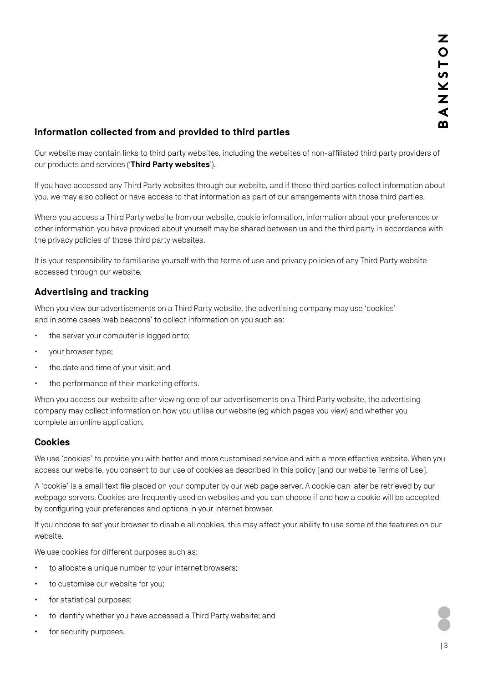## **Information collected from and provided to third parties**

Our website may contain links to third party websites, including the websites of non-affiliated third party providers of our products and services ('**Third Party websites**').

If you have accessed any Third Party websites through our website, and if those third parties collect information about you, we may also collect or have access to that information as part of our arrangements with those third parties.

Where you access a Third Party website from our website, cookie information, information about your preferences or other information you have provided about yourself may be shared between us and the third party in accordance with the privacy policies of those third party websites.

It is your responsibility to familiarise yourself with the terms of use and privacy policies of any Third Party website accessed through our website.

# **Advertising and tracking**

When you view our advertisements on a Third Party website, the advertising company may use 'cookies' and in some cases 'web beacons' to collect information on you such as:

- the server your computer is logged onto;
- your browser type;
- the date and time of your visit; and
- the performance of their marketing efforts.

When you access our website after viewing one of our advertisements on a Third Party website, the advertising company may collect information on how you utilise our website (eg which pages you view) and whether you complete an online application.

#### **Cookies**

We use 'cookies' to provide you with better and more customised service and with a more effective website. When you access our website, you consent to our use of cookies as described in this policy [and our [website Terms of Use\].](https://www.bankstonarchitectural.com.au/privacy-policy/)

A 'cookie' is a small text file placed on your computer by our web page server. A cookie can later be retrieved by our webpage servers. Cookies are frequently used on websites and you can choose if and how a cookie will be accepted by configuring your preferences and options in your internet browser.

If you choose to set your browser to disable all cookies, this may affect your ability to use some of the features on our website.

We use cookies for different purposes such as:

- to allocate a unique number to your internet browsers;
- to customise our website for you;
- **for statistical purposes;**
- to identify whether you have accessed a Third Party website; and
- for security purposes.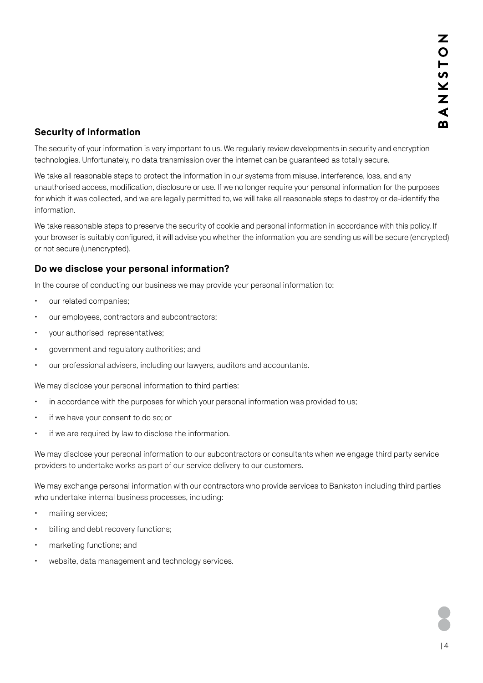# **Security of information**

The security of your information is very important to us. We regularly review developments in security and encryption technologies. Unfortunately, no data transmission over the internet can be guaranteed as totally secure.

We take all reasonable steps to protect the information in our systems from misuse, interference, loss, and any unauthorised access, modification, disclosure or use. If we no longer require your personal information for the purposes for which it was collected, and we are legally permitted to, we will take all reasonable steps to destroy or de-identify the information.

We take reasonable steps to preserve the security of cookie and personal information in accordance with this policy. If your browser is suitably configured, it will advise you whether the information you are sending us will be secure (encrypted) or not secure (unencrypted).

## **Do we disclose your personal information?**

In the course of conducting our business we may provide your personal information to:

- our related companies;
- our employees, contractors and subcontractors;
- x your authorised representatives;
- government and regulatory authorities; and
- our professional advisers, including our lawyers, auditors and accountants.

We may disclose your personal information to third parties:

- $\cdot$  in accordance with the purposes for which your personal information was provided to us;
- if we have your consent to do so; or
- if we are required by law to disclose the information.

We may disclose your personal information to our subcontractors or consultants when we engage third party service providers to undertake works as part of our service delivery to our customers.

We may exchange personal information with our contractors who provide services to Bankston including third parties who undertake internal business processes, including:

- mailing services;
- $\cdot$  billing and debt recovery functions;
- marketing functions; and
- website, data management and technology services.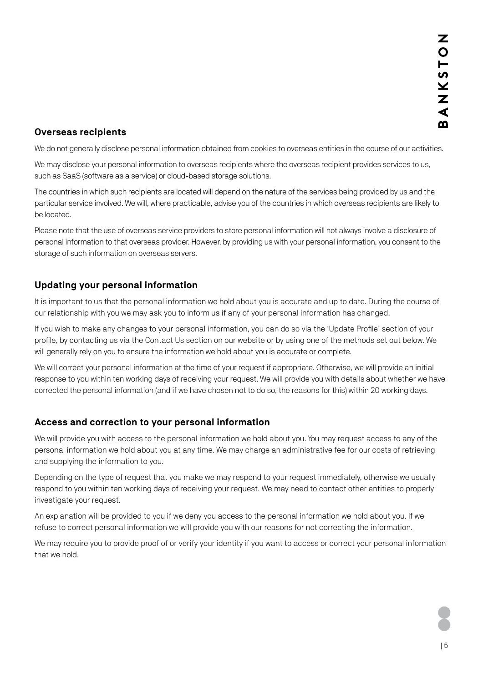## **Overseas recipients**

We do not generally disclose personal information obtained from cookies to overseas entities in the course of our activities.

We may disclose your personal information to overseas recipients where the overseas recipient provides services to us, such as SaaS (software as a service) or cloud-based storage solutions.

The countries in which such recipients are located will depend on the nature of the services being provided by us and the particular service involved. We will, where practicable, advise you of the countries in which overseas recipients are likely to be located.

Please note that the use of overseas service providers to store personal information will not always involve a disclosure of personal information to that overseas provider. However, by providing us with your personal information, you consent to the storage of such information on overseas servers.

# **Updating your personal information**

It is important to us that the personal information we hold about you is accurate and up to date. During the course of our relationship with you we may ask you to inform us if any of your personal information has changed.

If you wish to make any changes to your personal information, you can do so via the 'Update Profile' section of your profile, by contacting us via the [Contact Us](https://www.bankstonarchitectural.com.au/contact/) section on our website or by using one of the methods set out below. We will generally rely on you to ensure the information we hold about you is accurate or complete.

We will correct your personal information at the time of your request if appropriate. Otherwise, we will provide an initial response to you within ten working days of receiving your request. We will provide you with details about whether we have corrected the personal information (and if we have chosen not to do so, the reasons for this) within 20 working days.

# **Access and correction to your personal information**

We will provide you with access to the personal information we hold about you. You may request access to any of the personal information we hold about you at any time. We may charge an administrative fee for our costs of retrieving and supplying the information to you.

Depending on the type of request that you make we may respond to your request immediately, otherwise we usually respond to you within ten working days of receiving your request. We may need to contact other entities to properly investigate your request.

An explanation will be provided to you if we deny you access to the personal information we hold about you. If we refuse to correct personal information we will provide you with our reasons for not correcting the information.

We may require you to provide proof of or verify your identity if you want to access or correct your personal information that we hold.